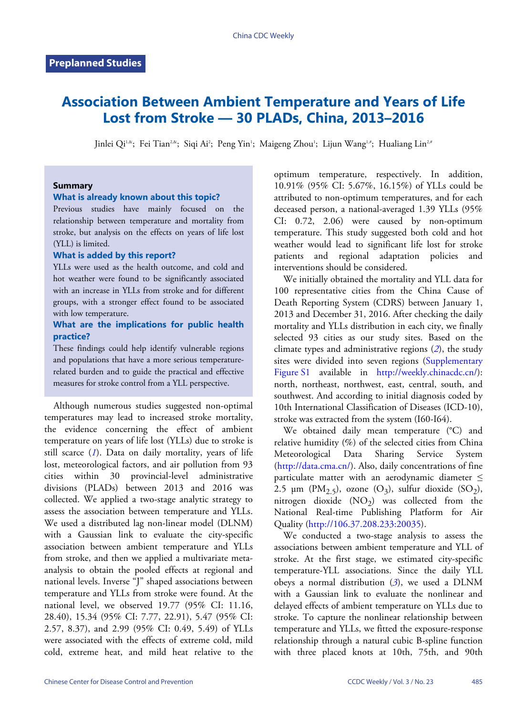# **Association Between Ambient Temperature and Years of Life Lost from Stroke — 30 PLADs, China, 2013–2016**

Jinlei Qi<sup>1.&</sup>; Fei Tian<sup>2.&</sup>; Siqi Ai<sup>2</sup>; Peng Yin'; Maigeng Zhou'; Lijun Wang'''; Hualiang Lin<sup>2,#</sup>

#### **Summary**

#### **What is already known about this topic?**

Previous studies have mainly focused on the relationship between temperature and mortality from stroke, but analysis on the effects on years of life lost (YLL) is limited.

#### **What is added by this report?**

YLLs were used as the health outcome, and cold and hot weather were found to be significantly associated with an increase in YLLs from stroke and for different groups, with a stronger effect found to be associated with low temperature.

### **What are the implications for public health practice?**

These findings could help identify vulnerable regions and populations that have a more serious temperaturerelated burden and to guide the practical and effective measures for stroke control from a YLL perspective.

Although numerous studies suggested non-optimal temperatures may lead to increased stroke mortality, the evidence concerning the effect of ambient temperature on years of life lost (YLLs) due to stroke is still scarce  $(I)$ . Data on daily mortality, years of life lost, meteorological factors, and air pollution from 93 cities within 30 provincial-level administrative divisions (PLADs) between 2013 and 2016 was collected. We applied a two-stage analytic strategy to assess the association between temperature and YLLs. We used a distributed lag non-linear model (DLNM) with a Gaussian link to evaluate the city-specific association between ambient temperature and YLLs from stroke, and then we applied a multivariate metaanalysis to obtain the pooled effects at regional and national levels. Inverse "J" shaped associations between temperature and YLLs from stroke were found. At the national level, we observed 19.77 (95% CI: 11.16, 28.40), 15.34 (95% CI: 7.77, 22.91), 5.47 (95% CI: 2.57, 8.37), and 2.99 (95% CI: 0.49, 5.49) of YLLs were associated with the effects of extreme cold, mild cold, extreme heat, and mild heat relative to the optimum temperature, respectively. In addition, 10.91% (95% CI: 5.67%, 16.15%) of YLLs could be attributed to non-optimum temperatures, and for each deceased person, a national-averaged 1.39 YLLs (95% CI: 0.72, 2.06) were caused by non-optimum temperature. This study suggested both cold and hot weather would lead to significant life lost for stroke patients and regional adaptation policies and interventions should be considered.

We initially obtained the mortality and YLL data for 100 representative cities from the China Cause of Death Reporting System (CDRS) between January 1, 2013 and December 31, 2016. After checking the daily mortality and YLLs distribution in each city, we finally selected 93 cities as our study sites. Based on the climate types and administrative regions (*[2](#page-4-1)*), the study siteswere divided into seven regions ([Supplementary](Supplementary Figure S1) [Figure S1](Supplementary Figure S1) available in [http://weekly.chinacdc.cn/\)](http://weekly.chinacdc.cn/): north, northeast, northwest, east, central, south, and southwest. And according to initial diagnosis coded by 10th International Classification of Diseases (ICD-10), stroke was extracted from the system (I60-I64).

We obtained daily mean temperature (°C) and relative humidity (%) of the selected cities from China Meteorological Data Sharing Service System [\(http://data.cma.cn/\)](http://data.cma.cn/). Also, daily concentrations of fine particulate matter with an aerodynamic diameter  $\leq$ 2.5  $\mu$ m (PM<sub>2.5</sub>), ozone (O<sub>3</sub>), sulfur dioxide (SO<sub>2</sub>), nitrogen dioxide  $(NO<sub>2</sub>)$  was collected from the National Real-time Publishing Platform for Air Quality [\(http://106.37.208.233:20035](http://106.37.208.233:20035)).

We conducted a two-stage analysis to assess the associations between ambient temperature and YLL of stroke. At the first stage, we estimated city-specific temperature-YLL associations. Since the daily YLL obeys a normal distribution (*[3](#page-4-2)*), we used a DLNM with a Gaussian link to evaluate the nonlinear and delayed effects of ambient temperature on YLLs due to stroke. To capture the nonlinear relationship between temperature and YLLs, we fitted the exposure-response relationship through a natural cubic B-spline function with three placed knots at 10th, 75th, and 90th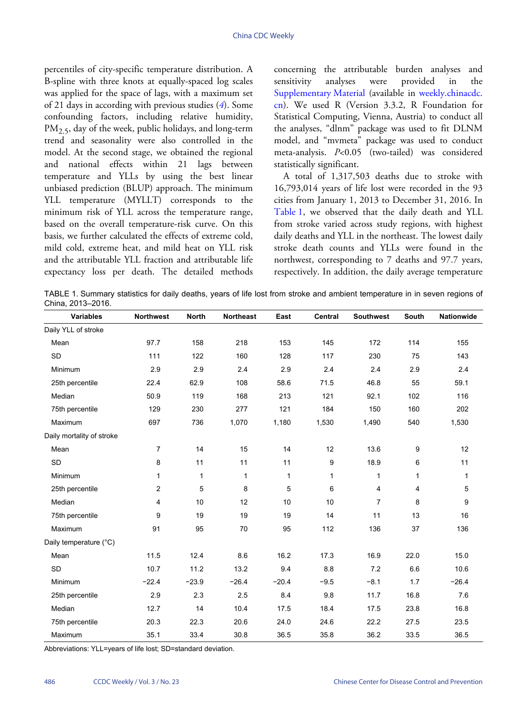percentiles of city-specific temperature distribution. A B-spline with three knots at equally-spaced log scales was applied for the space of lags, with a maximum set of 21 days in according with previous studies (*[4](#page-4-3)*). Some confounding factors, including relative humidity,  $PM<sub>2.5</sub>$ , day of the week, public holidays, and long-term trend and seasonality were also controlled in the model. At the second stage, we obtained the regional and national effects within 21 lags between temperature and YLLs by using the best linear unbiased prediction (BLUP) approach. The minimum YLL temperature (MYLLT) corresponds to the minimum risk of YLL across the temperature range, based on the overall temperature-risk curve. On this basis, we further calculated the effects of extreme cold, mild cold, extreme heat, and mild heat on YLL risk and the attributable YLL fraction and attributable life expectancy loss per death. The detailed methods concerning the attributable burden analyses and sensitivity analyses were provided in the [Supplementary Material](supplementary material) (available in [weekly.chinacdc.](weekly.chinacdc.cn) [cn\)](weekly.chinacdc.cn). We used R (Version 3.3.2, R Foundation for Statistical Computing, Vienna, Austria) to conduct all the analyses, "dlnm" package was used to fit DLNM model, and "mvmeta" package was used to conduct meta-analysis. *P*<0.05 (two-tailed) was considered statistically significant.

A total of 1,317,503 deaths due to stroke with 16,793,014 years of life lost were recorded in the 93 cities from January 1, 2013 to December 31, 2016. In [Table 1](#page-1-0), we observed that the daily death and YLL from stroke varied across study regions, with highest daily deaths and YLL in the northeast. The lowest daily stroke death counts and YLLs were found in the northwest, corresponding to 7 deaths and 97.7 years, respectively. In addition, the daily average temperature

<span id="page-1-0"></span>TABLE 1. Summary statistics for daily deaths, years of life lost from stroke and ambient temperature in in seven regions of China, 2013–2016.

| <b>Variables</b>          | <b>Northwest</b> | <b>North</b> | <b>Northeast</b> | East    | Central      | <b>Southwest</b> | South | Nationwide |
|---------------------------|------------------|--------------|------------------|---------|--------------|------------------|-------|------------|
| Daily YLL of stroke       |                  |              |                  |         |              |                  |       |            |
| Mean                      | 97.7             | 158          | 218              | 153     | 145          | 172              | 114   | 155        |
| <b>SD</b>                 | 111              | 122          | 160              | 128     | 117          | 230              | 75    | 143        |
| Minimum                   | 2.9              | 2.9          | 2.4              | 2.9     | 2.4          | 2.4              | 2.9   | 2.4        |
| 25th percentile           | 22.4             | 62.9         | 108              | 58.6    | 71.5         | 46.8             | 55    | 59.1       |
| Median                    | 50.9             | 119          | 168              | 213     | 121          | 92.1             | 102   | 116        |
| 75th percentile           | 129              | 230          | 277              | 121     | 184          | 150              | 160   | 202        |
| Maximum                   | 697              | 736          | 1,070            | 1,180   | 1,530        | 1,490            | 540   | 1,530      |
| Daily mortality of stroke |                  |              |                  |         |              |                  |       |            |
| Mean                      | $\overline{7}$   | 14           | 15               | 14      | 12           | 13.6             | 9     | 12         |
| SD                        | 8                | 11           | 11               | 11      | 9            | 18.9             | 6     | 11         |
| Minimum                   | $\mathbf{1}$     | $\mathbf{1}$ | 1                | 1       | $\mathbf{1}$ | 1                | 1     | 1          |
| 25th percentile           | 2                | 5            | 8                | 5       | 6            | 4                | 4     | 5          |
| Median                    | 4                | 10           | 12               | 10      | 10           | 7                | 8     | 9          |
| 75th percentile           | 9                | 19           | 19               | 19      | 14           | 11               | 13    | 16         |
| Maximum                   | 91               | 95           | 70               | 95      | 112          | 136              | 37    | 136        |
| Daily temperature (°C)    |                  |              |                  |         |              |                  |       |            |
| Mean                      | 11.5             | 12.4         | 8.6              | 16.2    | 17.3         | 16.9             | 22.0  | 15.0       |
| <b>SD</b>                 | 10.7             | 11.2         | 13.2             | 9.4     | 8.8          | 7.2              | 6.6   | 10.6       |
| <b>Minimum</b>            | $-22.4$          | $-23.9$      | $-26.4$          | $-20.4$ | $-9.5$       | $-8.1$           | 1.7   | $-26.4$    |
| 25th percentile           | 2.9              | 2.3          | 2.5              | 8.4     | 9.8          | 11.7             | 16.8  | 7.6        |
| Median                    | 12.7             | 14           | 10.4             | 17.5    | 18.4         | 17.5             | 23.8  | 16.8       |
| 75th percentile           | 20.3             | 22.3         | 20.6             | 24.0    | 24.6         | 22.2             | 27.5  | 23.5       |
| Maximum                   | 35.1             | 33.4         | 30.8             | 36.5    | 35.8         | 36.2             | 33.5  | 36.5       |

Abbreviations: YLL=years of life lost; SD=standard deviation.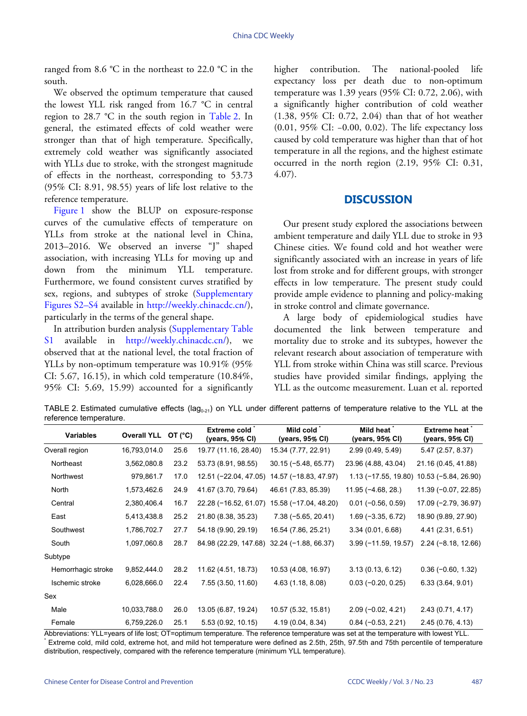ranged from 8.6 °C in the northeast to 22.0 °C in the south.

We observed the optimum temperature that caused the lowest YLL risk ranged from 16.7 °C in central region to 28.7 °C in the south region in [Table 2.](#page-2-0) In general, the estimated effects of cold weather were stronger than that of high temperature. Specifically, extremely cold weather was significantly associated with YLLs due to stroke, with the strongest magnitude of effects in the northeast, corresponding to 53.73 (95% CI: 8.91, 98.55) years of life lost relative to the reference temperature.

[Figure 1](#page-3-0) show the BLUP on exposure-response curves of the cumulative effects of temperature on YLLs from stroke at the national level in China, 2013–2016. We observed an inverse "J" shaped association, with increasing YLLs for moving up and down from the minimum YLL temperature. Furthermore, we found consistent curves stratified by sex, regions, and subtypes of stroke [\(Supplementary](Supplementary Figures S2�S4) [Figures S2](Supplementary Figures S2�S4)–[S4](Supplementary Figures S2�S4) available in <http://weekly.chinacdc.cn/>), particularly in the terms of the general shape.

In attribution burden analysis [\(Supplementary Table](#page-5-0) [S1](#page-5-0) available in [http://weekly.chinacdc.cn/\)](http://weekly.chinacdc.cn/), we observed that at the national level, the total fraction of YLLs by non-optimum temperature was 10.91% (95% CI: 5.67, 16.15), in which cold temperature (10.84%, 95% CI: 5.69, 15.99) accounted for a significantly

higher contribution. The national-pooled life expectancy loss per death due to non-optimum temperature was 1.39 years (95% CI: 0.72, 2.06), with a significantly higher contribution of cold weather (1.38, 95% CI: 0.72, 2.04) than that of hot weather (0.01, 95% CI: −0.00, 0.02). The life expectancy loss caused by cold temperature was higher than that of hot temperature in all the regions, and the highest estimate occurred in the north region (2.19, 95% CI: 0.31, 4.07).

### **DISCUSSION**

Our present study explored the associations between ambient temperature and daily YLL due to stroke in 93 Chinese cities. We found cold and hot weather were significantly associated with an increase in years of life lost from stroke and for different groups, with stronger effects in low temperature. The present study could provide ample evidence to planning and policy-making in stroke control and climate governance.

A large body of epidemiological studies have documented the link between temperature and mortality due to stroke and its subtypes, however the relevant research about association of temperature with YLL from stroke within China was still scarce. Previous studies have provided similar findings, applying the YLL as the outcome measurement. Luan et al. reported

<span id="page-2-0"></span>TABLE 2. Estimated cumulative effects ( $\text{lag}_{0.21}$ ) on YLL under different patterns of temperature relative to the YLL at the reference temperature.

| $5.5.055$ . $5.0555$ . $5.055$ |      | Extreme cold*                          | Mild cold*             | Mild heat <sup>*</sup> | <b>Extreme heat</b>   |  |
|--------------------------------|------|----------------------------------------|------------------------|------------------------|-----------------------|--|
|                                |      | (years, 95% CI)                        | (years, 95% CI)        | (years, 95% CI)        | (years, 95% CI)       |  |
| 16,793,014.0                   | 25.6 | 19.77 (11.16, 28.40)                   | 15.34 (7.77, 22.91)    | 2.99 (0.49, 5.49)      | 5.47 (2.57, 8.37)     |  |
| 3,562,080.8                    | 23.2 | 53.73 (8.91, 98.55)                    | $30.15 (-5.48, 65.77)$ | 23.96 (4.88, 43.04)    | 21.16 (0.45, 41.88)   |  |
| 979,861.7                      | 17.0 | 12.51 (-22.04, 47.05)                  | 14.57 (-18.83, 47.97)  |                        | $10.53(-5.84, 26.90)$ |  |
| 1,573,462.6                    | 24.9 | 41.67 (3.70, 79.64)                    | 46.61 (7.83, 85.39)    | $11.95(-4.68, 28.)$    | $11.39(-0.07, 22.85)$ |  |
| 2,380,406.4                    | 16.7 | 22.28 (-16.52, 61.07)                  | 15.58 (-17.04, 48.20)  | $0.01 (-0.56, 0.59)$   | 17.09 (-2.79, 36.97)  |  |
| 5,413,438.8                    | 25.2 | 21.80 (8.38, 35.23)                    | $7.38(-5.65, 20.41)$   | $1.69(-3.35, 6.72)$    | 18.90 (9.89, 27.90)   |  |
| 1,786,702.7                    | 27.7 | 54.18 (9.90, 29.19)                    | 16.54 (7.86, 25.21)    | 3.34(0.01, 6.68)       | 4.41 (2.31, 6.51)     |  |
| 1,097,060.8                    | 28.7 | 84.98 (22.29, 147.68)                  | $32.24 (-1.88, 66.37)$ | $3.99(-11.59, 19.57)$  | $2.24(-8.18, 12.66)$  |  |
|                                |      |                                        |                        |                        |                       |  |
| 9,852,444.0                    | 28.2 | 11.62 (4.51, 18.73)                    | 10.53 (4.08, 16.97)    | 3.13(0.13, 6.12)       | $0.36(-0.60, 1.32)$   |  |
| 6,028,666.0                    | 22.4 | 7.55 (3.50, 11.60)                     | 4.63 (1.18, 8.08)      | $0.03(-0.20, 0.25)$    | 6.33(3.64, 9.01)      |  |
|                                |      |                                        |                        |                        |                       |  |
| 10,033,788.0                   | 26.0 | 13.05 (6.87, 19.24)                    | 10.57 (5.32, 15.81)    | $2.09(-0.02, 4.21)$    | 2.43(0.71, 4.17)      |  |
| 6,759,226.0                    | 25.1 | 5.53 (0.92, 10.15)                     | 4.19 (0.04, 8.34)      | $0.84 (-0.53, 2.21)$   | 2.45(0.76, 4.13)      |  |
|                                |      | <b>Overall YLL</b><br>OT $(^{\circ}C)$ |                        |                        | $1.13(-17.55, 19.80)$ |  |

Abbreviations: YLL=years of life lost; OT=optimum temperature. The reference temperature was set at the temperature with lowest YLL. \* Extreme cold, mild cold, extreme hot, and mild hot temperature were defined as 2.5th, 25th, 97.5th and 75th percentile of temperature distribution, respectively, compared with the reference temperature (minimum YLL temperature).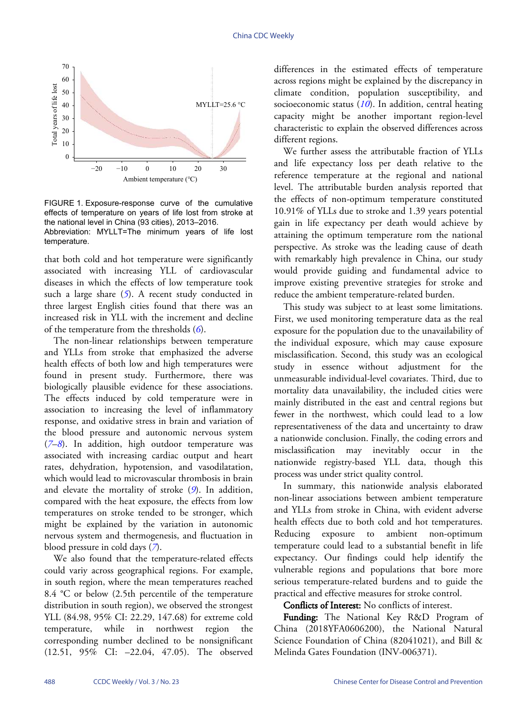<span id="page-3-0"></span>

FIGURE 1. Exposure-response curve of the cumulative effects of temperature on years of life lost from stroke at the national level in China (93 cities), 2013–2016. Abbreviation: MYLLT=The minimum years of life lost temperature.

that both cold and hot temperature were significantly associated with increasing YLL of cardiovascular diseases in which the effects of low temperature took such a large share ([5](#page-4-4)). A recent study conducted in three largest English cities found that there was an increased risk in YLL with the increment and decline of the temperature from the thresholds (*[6](#page-4-5)*).

The non-linear relationships between temperature and YLLs from stroke that emphasized the adverse health effects of both low and high temperatures were found in present study. Furthermore, there was biologically plausible evidence for these associations. The effects induced by cold temperature were in association to increasing the level of inflammatory response, and oxidative stress in brain and variation of the blood pressure and autonomic nervous system (*[7](#page-4-6)*–*[8](#page-4-7)*). In addition, high outdoor temperature was associated with increasing cardiac output and heart rates, dehydration, hypotension, and vasodilatation, which would lead to microvascular thrombosis in brain and elevate the mortality of stroke (*[9](#page-4-8)*). In addition, compared with the heat exposure, the effects from low temperatures on stroke tended to be stronger, which might be explained by the variation in autonomic nervous system and thermogenesis, and fluctuation in blood pressure in cold days (*[7](#page-4-6)*).

We also found that the temperature-related effects could variy across geographical regions. For example, in south region, where the mean temperatures reached 8.4 °C or below (2.5th percentile of the temperature distribution in south region), we observed the strongest YLL (84.98, 95% CI: 22.29, 147.68) for extreme cold temperature, while in northwest region the corresponding number declined to be nonsignificant (12.51, 95% CI: –22.04, 47.05). The observed differences in the estimated effects of temperature across regions might be explained by the discrepancy in climate condition, population susceptibility, and socioeconomic status (*[10](#page-4-9)*). In addition, central heating capacity might be another important region-level characteristic to explain the observed differences across different regions.

We further assess the attributable fraction of YLLs and life expectancy loss per death relative to the reference temperature at the regional and national level. The attributable burden analysis reported that the effects of non-optimum temperature constituted 10.91% of YLLs due to stroke and 1.39 years potential gain in life expectancy per death would achieve by attaining the optimum temperature rom the national perspective. As stroke was the leading cause of death with remarkably high prevalence in China, our study would provide guiding and fundamental advice to improve existing preventive strategies for stroke and reduce the ambient temperature-related burden.

This study was subject to at least some limitations. First, we used monitoring temperature data as the real exposure for the population due to the unavailability of the individual exposure, which may cause exposure misclassification. Second, this study was an ecological study in essence without adjustment for the unmeasurable individual-level covariates. Third, due to mortality data unavailability, the included cities were mainly distributed in the east and central regions but fewer in the northwest, which could lead to a low representativeness of the data and uncertainty to draw a nationwide conclusion. Finally, the coding errors and misclassification may inevitably occur in the nationwide registry-based YLL data, though this process was under strict quality control.

In summary, this nationwide analysis elaborated non-linear associations between ambient temperature and YLLs from stroke in China, with evident adverse health effects due to both cold and hot temperatures. Reducing exposure to ambient non-optimum temperature could lead to a substantial benefit in life expectancy. Our findings could help identify the vulnerable regions and populations that bore more serious temperature-related burdens and to guide the practical and effective measures for stroke control.

Conflicts of Interest: No conflicts of interest.

Funding: The National Key R&D Program of China (2018YFA0606200), the National Natural Science Foundation of China (82041021), and Bill & Melinda Gates Foundation (INV-006371).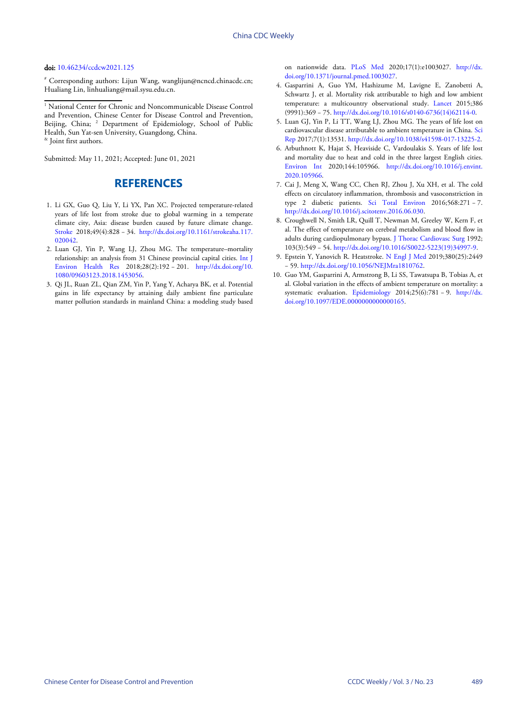#### doi: [10.46234/ccdcw2021.125](https://doi.org/10.46234/ccdcw2021.125)

# Corresponding authors: Lijun Wang, wanglijun@ncncd.chinacdc.cn; Hualiang Lin, linhualiang@mail.sysu.edu.cn.

<sup>1</sup> National Center for Chronic and Noncommunicable Disease Control and Prevention, Chinese Center for Disease Control and Prevention, Beijing, China; <sup>2</sup> Department of Epidemiology, School of Public Health, Sun Yat-sen University, Guangdong, China. & Joint first authors.

Submitted: May 11, 2021; Accepted: June 01, 2021

## **REFERENCES**

- <span id="page-4-0"></span>1. Li GX, Guo Q, Liu Y, Li YX, Pan XC. Projected temperature-related years of life lost from stroke due to global warming in a temperate climate city, Asia: disease burden caused by future climate change. [Stroke](https://doi.org/10.1161/strokeaha.117.020042) 2018;49(4):828 − 34. [http://dx.doi.org/10.1161/strokeaha.117.](https://doi.org/10.1161/strokeaha.117.020042) [020042](https://doi.org/10.1161/strokeaha.117.020042).
- <span id="page-4-1"></span>2. Luan GJ, Yin P, Wang LJ, Zhou MG. The temperature–mortality relationship: an analysis from 31 Chinese provincial capital cities. [Int J](https://doi.org/10.1080/09603123.2018.1453056) [Environ Health](https://doi.org/10.1080/09603123.2018.1453056) Res 2018;28(2):192 − 201. [http://dx.doi.org/10.](https://doi.org/10.1080/09603123.2018.1453056) [1080/09603123.2018.1453056.](https://doi.org/10.1080/09603123.2018.1453056)
- <span id="page-4-2"></span>Qi JL, Ruan ZL, Qian ZM, Yin P, Yang Y, Acharya BK, et al. Potential 3. gains in life expectancy by attaining daily ambient fine particulate matter pollution standa[rds in main](https://doi.org/10.1371/journal.pmed.1003027)land China: a modeling st[udy based](https://doi.org/10.1371/journal.pmed.1003027)

on nationwide data. [PLoS Med](https://doi.org/10.1371/journal.pmed.1003027) 2020;17(1):e1003027. [http://dx.](https://doi.org/10.1371/journal.pmed.1003027) [doi.org/10.1371/journal.pmed.1003027.](https://doi.org/10.1371/journal.pmed.1003027)

- <span id="page-4-3"></span>[Gasparrini A, Guo YM, Hashizume](https://doi.org/10.1371/journal.pmed.1003027) M, Lavigne E, Zanobetti A, 4. Schwartz J, et al. Mortality risk attributable to high and low ambient temperature: a multicountry observational study. [Lancet](https://doi.org/10.1016/s0140-6736(14)62114-0) 2015;386 (9991):369 − 75. [http://dx.doi.org/10.1016/s0140-6736\(14\)62114-0.](https://doi.org/10.1016/s0140-6736(14)62114-0)
- <span id="page-4-4"></span>5. Luan GJ, Yin P, [Li TT, Wang LJ, Zhou MG. The years of life lost](https://doi.org/10.1016/s0140-6736(14)62114-0) on cardiovascular disease attributable to ambient temperature in China. [Sci](https://doi.org/10.1038/s41598-017-13225-2) [Rep](https://doi.org/10.1038/s41598-017-13225-2) 2017;7(1):13531. [http://dx.doi.org/10.1038/s41598-017-13225-2.](https://doi.org/10.1038/s41598-017-13225-2)
- <span id="page-4-5"></span>6. [Arbu](https://doi.org/10.1038/s41598-017-13225-2)thnottK, Hajat S, Heaviside C, Vardoulakis S. Years of life lost and mortality due to heat and cold in the three largest English cities. [Environ In](https://doi.org/10.1016/j.envint.2020.105966)t 2020;144:105966. [http://dx.doi.org/10.1016/j.envint.](https://doi.org/10.1016/j.envint.2020.105966) [2020.105966.](https://doi.org/10.1016/j.envint.2020.105966)
- <span id="page-4-6"></span>7. [Cai J, Meng X](https://doi.org/10.1016/j.envint.2020.105966), Wang CC, Chen RJ, Zhou J, Xu XH, et al. The cold effects on circulatory inflamm[ation, thrombosis](https://doi.org/10.1016/j.scitotenv.2016.06.030) and vasoconstriction in type 2 diabetic patients. [Sci Total Envir](https://doi.org/10.1016/j.scitotenv.2016.06.030)on 2016;568:271 − 7. [http://dx.doi.org/10.1016/j.scitotenv.2016.06.030](https://doi.org/10.1016/j.scitotenv.2016.06.030).
- <span id="page-4-7"></span>8. Croughwell N, Smith LR, Quill T, Newman M, Greeley W, Kern F, et al. The effect of temperature on cerebr[al metabolism and blood f](https://doi.org/10.1016/S0022-5223(19)34997-9)low in adults during cardiopulmonary bypass. [J Thorac Cardiovasc Surg](https://doi.org/10.1016/S0022-5223(19)34997-9) 1992; 103(3):549 − 54. [http://dx.doi.org/10.1016/S0022-5223\(19\)34997-9](https://doi.org/10.1016/S0022-5223(19)34997-9).
- <span id="page-4-8"></span>9. Epste[in Y, Yanovich R. Heatstroke.](https://doi.org/10.1056/NEJMra1810762) [N Engl J Med](https://doi.org/10.1056/NEJMra1810762) 2019;380(25):2449 − 59. [http://dx.doi.org/10.1056/NEJMra1810762.](https://doi.org/10.1056/NEJMra1810762)
- <span id="page-4-9"></span>10. Guo YM, Gasparrini A, Armstrong B, Li SS, Tawatsupa B, Tobias A, et al. Global variation in th[e effects of am](https://doi.org/10.1097/EDE.0000000000000165)bient temperature on [mortality: a](https://doi.org/10.1097/EDE.0000000000000165) [systematic evaluation.](https://doi.org/10.1097/EDE.0000000000000165) [Epidemiology](https://doi.org/10.1097/EDE.0000000000000165) 2014;25(6):781 − 9. [http://dx.](https://doi.org/10.1097/EDE.0000000000000165) [doi.org/10.1097/EDE.0000000000000165.](https://doi.org/10.1097/EDE.0000000000000165)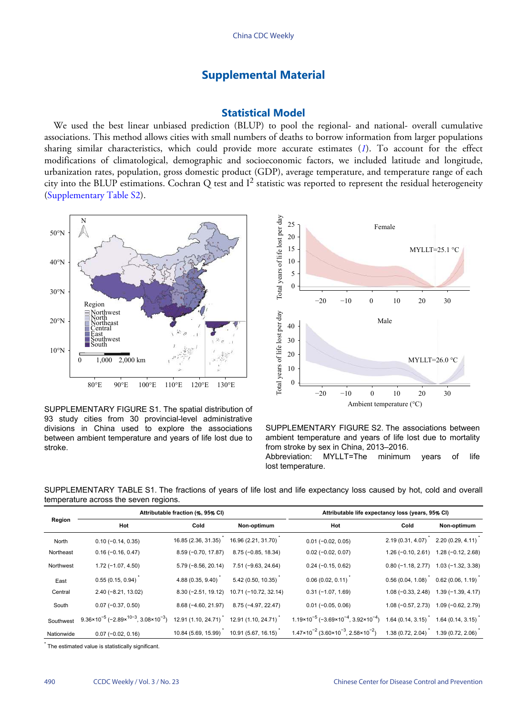## **Supplemental Material**

#### **Statistical Model**

We used the best linear unbiased prediction (BLUP) to pool the regional- and national- overall cumulative associations. This method allows cities with small numbers of deaths to borrow information from larger populations sharing similar characteristics, which could provide more accurate estimates (*[1](#page-10-0)*). To account for the effect modifications of climatological, demographic and socioeconomic factors, we included latitude and longitude, urbanization rates, population, gross domestic product (GDP), average temperature, and temperature range of each city into the BLUP estimations. Cochran Q test and  $I^2$  statistic was reported to represent the residual heterogeneity ([Supplementary Table S2](#page-7-0)).



SUPPLEMENTARY FIGURE S1. The spatial distribution of 93 study cities from 30 provincial-level administrative divisions in China used to explore the associations between ambient temperature and years of life lost due to stroke.



SUPPLEMENTARY FIGURE S2. The associations between ambient temperature and years of life lost due to mortality from stroke by sex in China, 2013–2016. Abbreviation: MYLLT=The minimum years of life lost temperature.

<span id="page-5-0"></span>SUPPLEMENTARY TABLE S1. The fractions of years of life lost and life expectancy loss caused by hot, cold and overall temperature across the seven regions.

| Region     |                                                                                          | Attributable fraction (%, 95% CI) |                       | Attributable life expectancy loss (years, 95% CI)                       |                     |                     |  |
|------------|------------------------------------------------------------------------------------------|-----------------------------------|-----------------------|-------------------------------------------------------------------------|---------------------|---------------------|--|
|            | Hot                                                                                      | Cold                              | Non-optimum           | Hot                                                                     | Cold                | Non-optimum         |  |
| North      | $0.10 (-0.14, 0.35)$                                                                     | 16.85 (2.36, 31.35)               | 16.96 (2.21, 31.70)   | $0.01 (-0.02, 0.05)$                                                    | 2.19 (0.31, 4.07)   | 2.20 (0.29, 4.11)   |  |
| Northeast  | $0.16(-0.16, 0.47)$                                                                      | $8.59(-0.70, 17.87)$              | $8.75(-0.85, 18.34)$  | $0.02$ (-0.02, 0.07)                                                    | $1.26(-0.10, 2.61)$ | $1.28(-0.12, 2.68)$ |  |
| Northwest  | $1.72(-1.07, 4.50)$                                                                      | $5.79(-8.56, 20.14)$              | 7.51 (-9.63, 24.64)   | $0.24 (-0.15, 0.62)$                                                    | $0.80(-1.18, 2.77)$ | $1.03(-1.32, 3.38)$ |  |
| East       | 0.55(0.15, 0.94)                                                                         | 4.88 (0.35, 9.40)                 | 5.42 (0.50, 10.35)    | 0.06(0.02, 0.11)                                                        | 0.56(0.04, 1.08)    | 0.62(0.06, 1.19)    |  |
| Central    | $2.40$ (-8.21, 13.02)                                                                    | $8.30(-2.51, 19.12)$              | 10.71 (-10.72, 32.14) | $0.31(-1.07, 1.69)$                                                     | $1.08(-0.33, 2.48)$ | $1.39(-1.39, 4.17)$ |  |
| South      | $0.07 (-0.37, 0.50)$                                                                     | $8.68(-4.60, 21.97)$              | 8.75 (-4.97, 22.47)   | $0.01 (-0.05, 0.06)$                                                    | $1.08(-0.57, 2.73)$ | $1.09(-0.62, 2.79)$ |  |
| Southwest  | $9.36 \times 10^{-5}$ (-2.89 $\times$ <sup>10-3</sup> , 3.08 $\times$ 10 <sup>-3</sup> ) | 12.91 (1.10, 24.71)               | 12.91 (1.10, 24.71)   | $1.19 \times 10^{-5}$ (-3.69×10 <sup>-4</sup> , 3.92×10 <sup>-4</sup> ) | 1.64(0.14, 3.15)    | 1.64(0.14, 3.15)    |  |
| Nationwide | $0.07 (-0.02, 0.16)$                                                                     | 10.84 (5.69, 15.99)               | 10.91 (5.67, 16.15)   | $1.47 \times 10^{-2}$ (3.60 $\times 10^{-3}$ , 2.58 $\times 10^{-2}$ )  | 1.38(0.72, 2.04)    | 1.39 (0.72, 2.06)   |  |

\* The estimated value is statistically significant.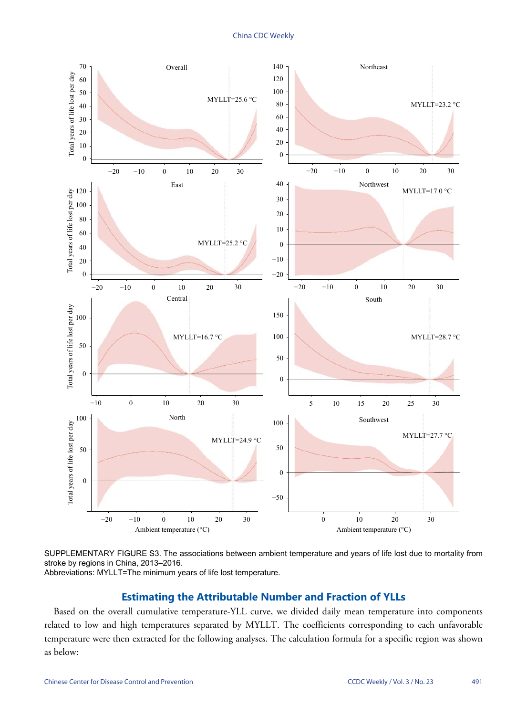China CDC Weekly



SUPPLEMENTARY FIGURE S3. The associations between ambient temperature and years of life lost due to mortality from stroke by regions in China, 2013–2016. Abbreviations: MYLLT=The minimum years of life lost temperature.

## **Estimating the Attributable Number and Fraction of YLLs**

Based on the overall cumulative temperature-YLL curve, we divided daily mean temperature into components related to low and high temperatures separated by MYLLT. The coefficients corresponding to each unfavorable temperature were then extracted for the following analyses. The calculation formula for a specific region was shown as below: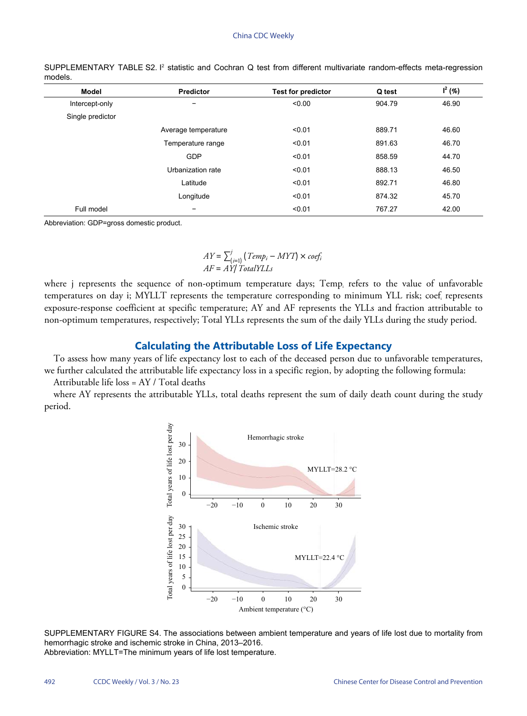| <b>Model</b>     | <b>Predictor</b>    | <b>Test for predictor</b> | Q test | $I^2(%)$ |
|------------------|---------------------|---------------------------|--------|----------|
| Intercept-only   | -                   | < 0.00                    | 904.79 | 46.90    |
| Single predictor |                     |                           |        |          |
|                  | Average temperature | < 0.01                    | 889.71 | 46.60    |
|                  | Temperature range   | < 0.01                    | 891.63 | 46.70    |
|                  | GDP                 | < 0.01                    | 858.59 | 44.70    |
|                  | Urbanization rate   | < 0.01                    | 888.13 | 46.50    |
|                  | Latitude            | < 0.01                    | 892.71 | 46.80    |
|                  | Longitude           | < 0.01                    | 874.32 | 45.70    |
| Full model       | -                   | < 0.01                    | 767.27 | 42.00    |

<span id="page-7-0"></span>SUPPLEMENTARY TABLE S2. <sup>p</sup> statistic and Cochran Q test from different multivariate random-effects meta-regression models.

Abbreviation: GDP=gross domestic product.

#### $AY = \sum_{i=1}^{j}$ (*i*=) (*Temp<sup>i</sup>* − *MYT*) × *coef<sup>i</sup> AF* = *AY*/*TotalYLLs*

where j represents the sequence of non-optimum temperature days; Temp<sub>i</sub> refers to the value of unfavorable temperatures on day i; MYLLT represents the temperature corresponding to minimum YLL risk; coef<sup>i</sup> represents exposure-response coefficient at specific temperature; AY and AF represents the YLLs and fraction attributable to non-optimum temperatures, respectively; Total YLLs represents the sum of the daily YLLs during the study period.

### **Calculating the Attributable Loss of Life Expectancy**

To assess how many years of life expectancy lost to each of the deceased person due to unfavorable temperatures, we further calculated the attributable life expectancy loss in a specific region, by adopting the following formula:

Attributable life loss = AY / Total deaths

where AY represents the attributable YLLs, total deaths represent the sum of daily death count during the study period.



SUPPLEMENTARY FIGURE S4. The associations between ambient temperature and years of life lost due to mortality from hemorrhagic stroke and ischemic stroke in China, 2013–2016. Abbreviation: MYLLT=The minimum years of life lost temperature.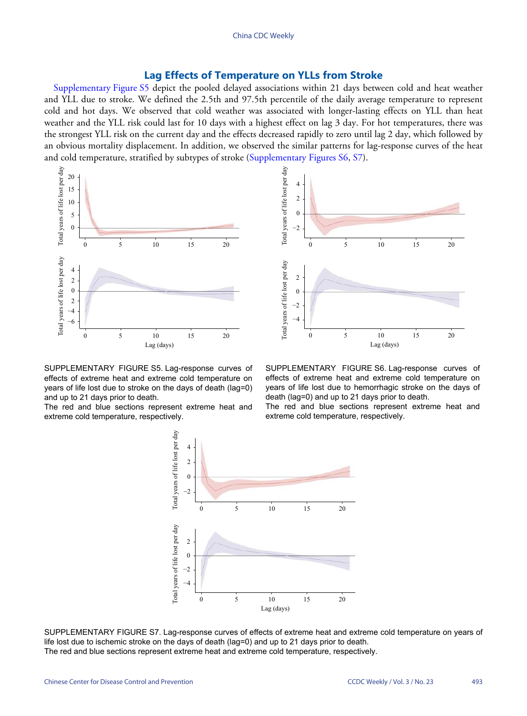### **Lag Effects of Temperature on YLLs from Stroke**

[Supplementary Figure S5](#page-8-0) depict the pooled delayed associations within 21 days between cold and heat weather and YLL due to stroke. We defined the 2.5th and 97.5th percentile of the daily average temperature to represent cold and hot days. We observed that cold weather was associated with longer-lasting effects on YLL than heat weather and the YLL risk could last for 10 days with a highest effect on lag 3 day. For hot temperatures, there was the strongest YLL risk on the current day and the effects decreased rapidly to zero until lag 2 day, which followed by an obvious mortality displacement. In addition, we observed the similar patterns for lag-response curves of the heat and cold temperature, stratified by subtypes of stroke ([Supplementary Figures S6](#page-8-1), [S7\)](#page-8-2).

<span id="page-8-0"></span>

SUPPLEMENTARY FIGURE S5. Lag-response curves of effects of extreme heat and extreme cold temperature on years of life lost due to stroke on the days of death (lag=0) and up to 21 days prior to death.

<span id="page-8-2"></span>The red and blue sections represent extreme heat and extreme cold temperature, respectively.

<span id="page-8-1"></span>

SUPPLEMENTARY FIGURE S6. Lag-response curves of effects of extreme heat and extreme cold temperature on years of life lost due to hemorrhagic stroke on the days of death (lag=0) and up to 21 days prior to death.

The red and blue sections represent extreme heat and extreme cold temperature, respectively.



SUPPLEMENTARY FIGURE S7. Lag-response curves of effects of extreme heat and extreme cold temperature on years of life lost due to ischemic stroke on the days of death (lag=0) and up to 21 days prior to death. The red and blue sections represent extreme heat and extreme cold temperature, respectively.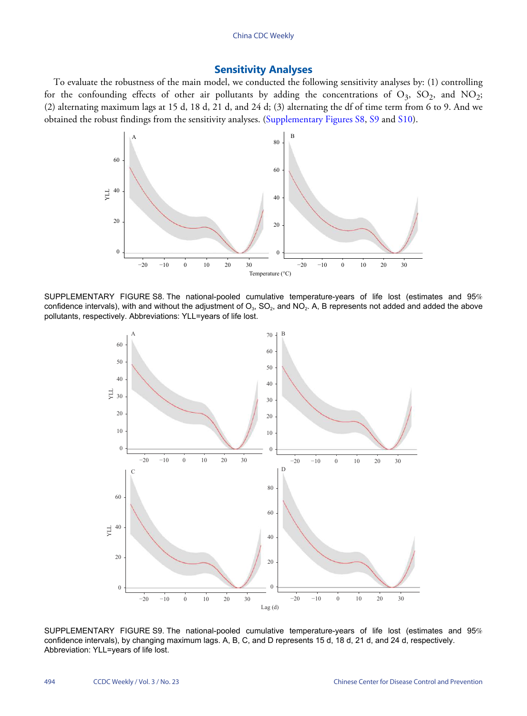## **Sensitivity Analyses**

<span id="page-9-0"></span>To evaluate the robustness of the main model, we conducted the following sensitivity analyses by: (1) controlling for the confounding effects of other air pollutants by adding the concentrations of  $O_3$ ,  $SO_2$ , and  $NO_2$ ; (2) alternating maximum lags at 15 d, 18 d, 21 d, and 24 d; (3) alternating the df of time term from 6 to 9. And we obtained the robust findings from the sensitivity analyses. [\(Supplementary Figures S8,](#page-9-0) [S9](#page-9-1) and [S10\)](#page-10-1).



<span id="page-9-1"></span>SUPPLEMENTARY FIGURE S8. The national-pooled cumulative temperature-years of life lost (estimates and 95% confidence intervals), with and without the adjustment of O $_3$ , SO $_2$ , and NO $_2$ . A, B represents not added and added the above pollutants, respectively. Abbreviations: YLL=years of life lost.



SUPPLEMENTARY FIGURE S9. The national-pooled cumulative temperature-years of life lost (estimates and 95% confidence intervals), by changing maximum lags. A, B, C, and D represents 15 d, 18 d, 21 d, and 24 d, respectively. Abbreviation: YLL=years of life lost.